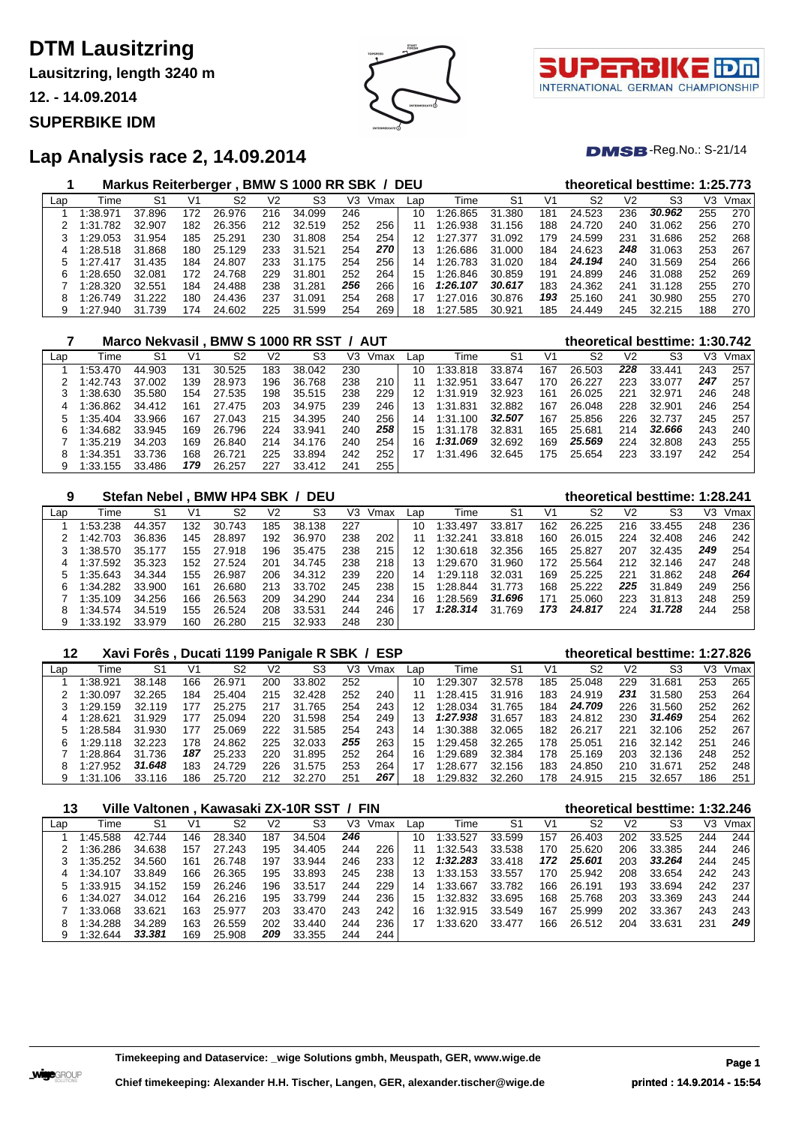**Lausitzring, length 3240 m**

**12. - 14.09.2014**

### **SUPERBIKE IDM**





### $DMSB$ -Reg.No.: S-21/14

### **Lap Analysis race 2, 14.09.2014**

|     |          | Markus Reiterberger, BMW S 1000 RR SBK / DEU |     |        |     |        |     |      |                 |          |        |     | theoretical besttime: 1:25.773 |     |            |     |      |
|-----|----------|----------------------------------------------|-----|--------|-----|--------|-----|------|-----------------|----------|--------|-----|--------------------------------|-----|------------|-----|------|
| Lap | Time     | S1                                           | V1  | S2     | V2  | S3     | VЗ  | Vmax | Lap             | Time     | S1     | V1  | S2                             | V2  | S3         | VЗ  | Vmax |
|     | :38.971  | 37.896                                       | 172 | 26.976 | 216 | 34.099 | 246 |      | 10              | 1:26.865 | 31.380 | 181 | 24.523                         | 236 | 30.962     | 255 | 270  |
|     | 1:31.782 | 32.907                                       | 182 | 26.356 | 212 | 32.519 | 252 | 256  |                 | 1:26.938 | 31.156 | 188 | 24.720                         | 240 | 31.062     | 256 | 270  |
|     | 1:29.053 | 31.954                                       | 185 | 25.291 | 230 | 31.808 | 254 | 254  | 12              | 1:27.377 | 31.092 | 179 | 24.599                         | 231 | 31.686     | 252 | 268  |
|     | 1:28.518 | 31.868                                       | 180 | 25.129 | 233 | 31.521 | 254 | 270  | 13 <sup>°</sup> | 1:26.686 | 31.000 | 184 | 24.623                         | 248 | 31.063     | 253 | 267  |
|     | 1:27.417 | 31.435                                       | 184 | 24.807 | 233 | 31.175 | 254 | 256  | 14              | 1:26.783 | 31.020 | 184 | 24.194                         | 240 | 31.569     | 254 | 266  |
| 6   | 1:28.650 | 32.081                                       | 172 | 24.768 | 229 | 31.801 | 252 | 264  | 15 <sub>1</sub> | 1:26.846 | 30.859 | 191 | 24.899                         | 246 | 31.088     | 252 | 269  |
|     | 1:28.320 | 32.551                                       | 184 | 24.488 | 238 | 31.281 | 256 | 266  | 16              | 1:26.107 | 30.617 | 183 | 24.362                         | 241 | .128<br>31 | 255 | 270  |
|     | 1:26.749 | 31.222                                       | 180 | 24.436 | 237 | 31.091 | 254 | 268  |                 | 1:27.016 | 30.876 | 193 | 25.160                         | 241 | 30.980     | 255 | 270  |
| 9   | 1:27.940 | 31.739                                       | 174 | 24.602 | 225 | 31.599 | 254 | 269  | 18              | 1:27.585 | 30.921 | 185 | 24.449                         | 245 | 32.215     | 188 | 270  |

|     |          |        |     |        |     | Marco Nekvasil . BMW S 1000 RR SST / AUT |     |      |     |              |                |     | theoretical besttime: 1:30.742 |     |        |     |      |
|-----|----------|--------|-----|--------|-----|------------------------------------------|-----|------|-----|--------------|----------------|-----|--------------------------------|-----|--------|-----|------|
| Lap | Time     | S1     | V1  | S2     | V2  | S3                                       | V3  | Vmax | Lap | Гіmе         | S <sub>1</sub> | V1  | S2                             | V2  | S3     | V3  | Vmax |
|     | 1:53.470 | 44.903 | 131 | 30.525 | 183 | 38.042                                   | 230 |      | 10  | 1:33.818     | 33.874         | 167 | 26.503                         | 228 | 33.441 | 243 | 257  |
|     | 1:42.743 | 37.002 | 139 | 28.973 | 196 | 36.768                                   | 238 | 210  | 11  | 1:32.951     | 33.647         | 170 | 26.227                         | 223 | 33.077 | 247 | 257  |
|     | 1:38.630 | 35.580 | 154 | 27.535 | 198 | 35.515                                   | 238 | 229  | 12  | 1:31.919     | 32.923         | 161 | 26.025                         | 221 | 32.971 | 246 | 248  |
|     | 1:36.862 | 34.412 | 161 | 27.475 | 203 | 34.975                                   | 239 | 246  | 13  | 1:31.831     | 32.882         | 167 | 26.048                         | 228 | 32.901 | 246 | 254  |
|     | 1:35.404 | 33.966 | 167 | 27.043 | 215 | 34.395                                   | 240 | 256  | 14  | 1:31.100     | 32,507         | 167 | 25.856                         | 226 | 32.737 | 245 | 257  |
| 6   | 1:34.682 | 33.945 | 169 | 26.796 | 224 | 33.941                                   | 240 | 258  | 15  | 1:31<br>.178 | 32.831         | 165 | 25.681                         | 214 | 32.666 | 243 | 240  |
|     | 1:35.219 | 34.203 | 169 | 26.840 | 214 | 34.176                                   | 240 | 254  | 16  | 1:31.069     | 32.692         | 169 | 25.569                         | 224 | 32.808 | 243 | 255  |
| 8   | 1:34.351 | 33.736 | 168 | 26.721 | 225 | 33.894                                   | 242 | 252  | 17  | l:31<br>.496 | 32.645         | 175 | 25.654                         | 223 | 33.197 | 242 | 254  |
| 9   | 1:33.155 | 33.486 | 179 | 26.257 | 227 | 33.412                                   | 241 | 255  |     |              |                |     |                                |     |        |     |      |

| 9   |          | <b>Stefan Nebel</b> |     | BMW HP4 SBK / |     | <b>DEU</b> |     |      |     |          |        |     | theoretical besttime: 1:28.241 |     |        |     |      |
|-----|----------|---------------------|-----|---------------|-----|------------|-----|------|-----|----------|--------|-----|--------------------------------|-----|--------|-----|------|
| Lap | Time     | S1                  | V1  | S2            | V2  | S3         | V3  | Vmax | Lap | Time     | S1     | V1  | S2                             | V2  | S3     | V3  | Vmax |
|     | 1:53.238 | 44.357              | 132 | 30.743        | 185 | 38.138     | 227 |      | 10  | 1:33.497 | 33.817 | 162 | 26.225                         | 216 | 33.455 | 248 | 236  |
|     | 1:42.703 | 36.836              | 145 | 28.897        | 192 | 36.970     | 238 | 202  |     | 1:32.241 | 33.818 | 160 | 26.015                         | 224 | 32.408 | 246 | 242  |
|     | 1:38.570 | 35.177              | 155 | 27.918        | 196 | 35.475     | 238 | 215  | 12  | 1:30.618 | 32.356 | 165 | 25.827                         | 207 | 32.435 | 249 | 254  |
| 4   | 1:37.592 | 35.323              | 152 | 27.524        | 201 | 34.745     | 238 | 218  | 13  | 1:29.670 | 31.960 | 172 | 25.564                         | 212 | 32.146 | 247 | 248  |
| 5   | 1:35.643 | 34.344              | 155 | 26.987        | 206 | 34.312     | 239 | 220  | 14  | 1:29.118 | 32.031 | 169 | 25.225                         | 221 | 31.862 | 248 | 264  |
| 6   | 1:34.282 | 33.900              | 161 | 26.680        | 213 | 33.702     | 245 | 238  | 15  | 1:28.844 | 31.773 | 168 | 25.222                         | 225 | 31.849 | 249 | 256  |
|     | 1:35.109 | 34.256              | 166 | 26.563        | 209 | 34.290     | 244 | 234  | 16  | 1:28.569 | 31.696 | 171 | 25.060                         | 223 | 31.813 | 248 | 259  |
| 8   | 1:34.574 | 34.519              | 155 | 26.524        | 208 | 33.531     | 244 | 246  | 17  | 1:28.314 | 31.769 | 173 | 24.817                         | 224 | 31.728 | 244 | 258  |
| 9   | 1:33.192 | 33.979              | 160 | 26.280        | 215 | 32.933     | 248 | 230  |     |          |        |     |                                |     |        |     |      |

# **Xavi Forês , Ducati 1199 Panigale R SBK / ESP theoretical besttime: 1:27.826**

| Lap | Time     |        |     | S2     | V2  | S3     | VЗ  | Vmax | Lap | Time     | S1     | V1  | S2     | V2  | S3     | V3  | Vmax |
|-----|----------|--------|-----|--------|-----|--------|-----|------|-----|----------|--------|-----|--------|-----|--------|-----|------|
|     | 1:38.921 | 38.148 | 166 | 26.971 | 200 | 33.802 | 252 |      | 10  | 1:29.307 | 32.578 | 185 | 25.048 | 229 | 31.681 | 253 | 265  |
|     | 1:30.097 | 32.265 | 184 | 25.404 | 215 | 32.428 | 252 | 240  | 11  | 1:28.415 | 31.916 | 183 | 24.919 | 231 | 31.580 | 253 | 264  |
|     | 1:29.159 | 32.119 | 177 | 25.275 | 217 | 31.765 | 254 | 243  | 12  | 1:28.034 | 31.765 | 184 | 24.709 | 226 | 31.560 | 252 | 262  |
|     | 1:28.621 | 31.929 | 177 | 25.094 | 220 | 31.598 | 254 | 249  | 13  | 1:27.938 | 31.657 | 183 | 24.812 | 230 | 31.469 | 254 | 262  |
| 5.  | 1:28.584 | 31.930 | 177 | 25.069 | 222 | 31.585 | 254 | 243  | 14  | 1:30.388 | 32.065 | 182 | 26.217 | 221 | 32.106 | 252 | 267  |
|     | 1:29.118 | 32.223 | 178 | 24.862 | 225 | 32.033 | 255 | 263  | 15  | 1:29.458 | 32.265 | 178 | 25.051 | 216 | 32.142 | 251 | 246  |
|     | 1:28.864 | 31.736 | 187 | 25.233 | 220 | 31.895 | 252 | 264  | 16  | 1:29.689 | 32.384 | 178 | 25.169 | 203 | 32.136 | 248 | 252  |
|     | 1:27.952 | 31.648 | 183 | 24.729 | 226 | 31.575 | 253 | 264  | 17  | 1:28.677 | 32.156 | 183 | 24.850 | 210 | 31.671 | 252 | 248  |
|     | 1:31.106 | 33.116 | 186 | 25.720 | 212 | 32.270 | 251 | 267  | 18  | 1:29.832 | 32.260 | 178 | 24.915 | 215 | 32.657 | 186 | 251  |

| 13  |          |        |     |        |     | Ville Valtonen, Kawasaki ZX-10R SST / FIN |     |      |     |          |        |     |        |                | theoretical besttime: 1:32.246 |     |      |
|-----|----------|--------|-----|--------|-----|-------------------------------------------|-----|------|-----|----------|--------|-----|--------|----------------|--------------------------------|-----|------|
| Lap | Time     | S1     | V1  | S2     | V2  | S3                                        | V3  | Vmax | Lap | Time     | S1     | V1  | S2     | V <sub>2</sub> | S3                             | VЗ  | Vmax |
|     | 1:45.588 | 42.744 | 146 | 28.340 | 187 | 34.504                                    | 246 |      | 10  | 1:33.527 | 33.599 | 157 | 26.403 | 202            | 33.525                         | 244 | 244  |
|     | 1:36.286 | 34.638 | 157 | 27.243 | 195 | 34.405                                    | 244 | 226  | 11  | 1:32.543 | 33.538 | 170 | 25.620 | 206            | 33.385                         | 244 | 246  |
|     | 1:35.252 | 34.560 | 161 | 26.748 | 197 | 33.944                                    | 246 | 233  | 12  | 1:32.283 | 33.418 | 172 | 25.601 | 203            | 33.264                         | 244 | 245  |
| 4   | 1:34.107 | 33.849 | 166 | 26.365 | 195 | 33.893                                    | 245 | 238  | 13  | 1:33.153 | 33.557 | 170 | 25.942 | 208            | 33.654                         | 242 | 243  |
| 5.  | 1:33.915 | 34.152 | 159 | 26.246 | 196 | 33.517                                    | 244 | 229  | 14  | 1:33.667 | 33.782 | 166 | 26.191 | 193            | 33.694                         | 242 | 237  |
| 6   | 1:34.027 | 34.012 | 164 | 26.216 | 195 | 33.799                                    | 244 | 236  | 15  | 1:32.832 | 33.695 | 168 | 25.768 | 203            | 33.369                         | 243 | 244  |
|     | 1:33.068 | 33.621 | 163 | 25.977 | 203 | 33.470                                    | 243 | 242  | 16  | 1:32.915 | 33.549 | 167 | 25.999 | 202            | 33.367                         | 243 | 243  |
| 8   | 1:34.288 | 34.289 | 163 | 26.559 | 202 | 33.440                                    | 244 | 236  | 17  | 1:33.620 | 33.477 | 166 | 26.512 | 204            | 33.631                         | 231 | 249  |
| 9   | 1:32.644 | 33.381 | 169 | 25.908 | 209 | 33.355                                    | 244 | 244  |     |          |        |     |        |                |                                |     |      |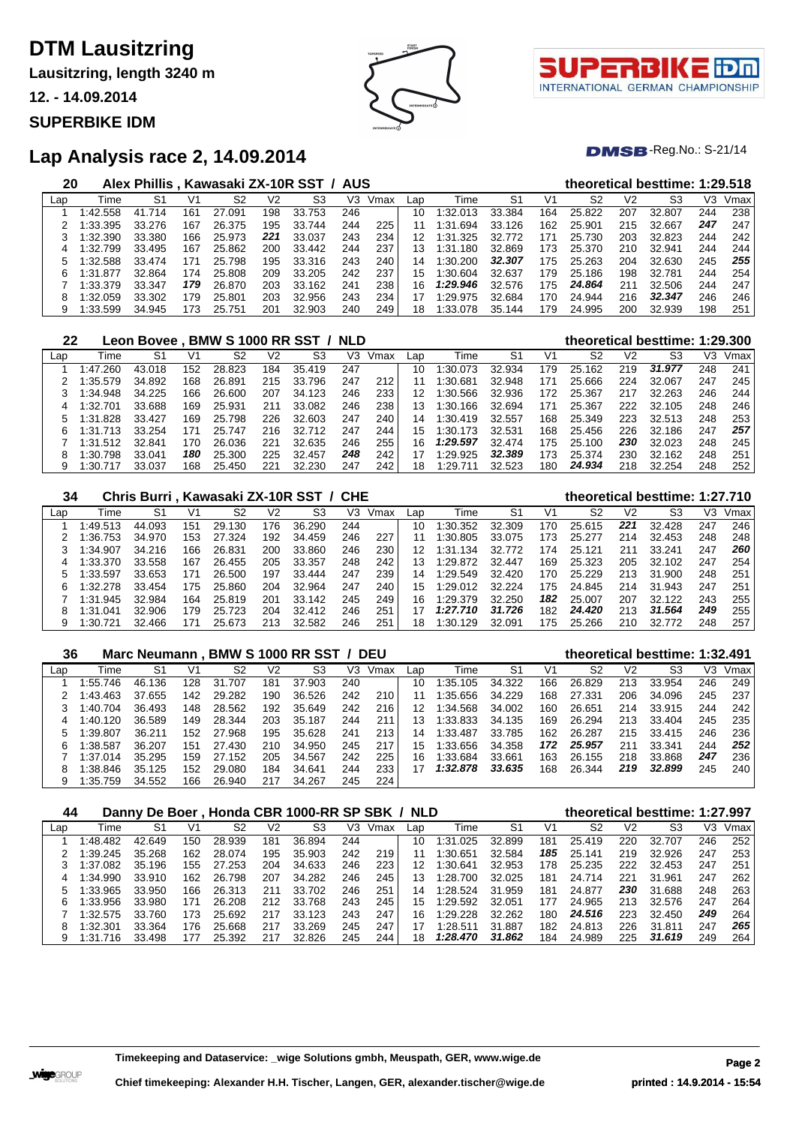**Lausitzring, length 3240 m**

**12. - 14.09.2014**

**SUPERBIKE IDM**





### $DMSB$ -Reg.No.: S-21/14

### **Lap Analysis race 2, 14.09.2014**

| 20  |          | Alex Phillis. |     | Kawasaki ZX-10R SST / AUS |                |                |     |      |     |               |                |     |        |                | theoretical besttime: 1:29.518 |     |      |
|-----|----------|---------------|-----|---------------------------|----------------|----------------|-----|------|-----|---------------|----------------|-----|--------|----------------|--------------------------------|-----|------|
| Lap | Time     | S1            | V1  | S2                        | V <sub>2</sub> | S <sub>3</sub> | V3  | Vmax | Lap | Time          | S <sub>1</sub> | V1  | S2     | V <sub>2</sub> | S3                             | V3  | Vmax |
|     | 1:42.558 | 41.714        | 161 | 27.091                    | 198            | 33.753         | 246 |      | 10  | 1:32.013      | 33.384         | 164 | 25.822 | 207            | 32.807                         | 244 | 238  |
|     | 1:33.395 | 33.276        | 167 | 26.375                    | 195            | 33.744         | 244 | 225  | 11  | l:31<br>.694  | 33.126         | 162 | 25.901 | 215            | 32.667                         | 247 | 247  |
|     | 1:32.390 | 33.380        | 166 | 25.973                    | 221            | 33.037         | 243 | 234  | 12  | 1:31.<br>.325 | 32.772         | 171 | 25.730 | 203            | 32.823                         | 244 | 242  |
|     | 1:32.799 | 33.495        | 167 | 25.862                    | 200            | 33.442         | 244 | 237  | 13  | :31<br>.180   | 32.869         | 173 | 25.370 | 210            | 32.941                         | 244 | 244  |
| 5   | 1:32.588 | 33.474        | 171 | 25.798                    | 195            | 33.316         | 243 | 240  | 14  | 1:30.200      | 32,307         | 175 | 25.263 | 204            | 32.630                         | 245 | 255  |
| 6   | 1:31.877 | 32.864        | 174 | 25.808                    | 209            | 33.205         | 242 | 237  | 15  | 1:30.604      | 32.637         | 179 | 25.186 | 198            | 32.781                         | 244 | 254  |
|     | 1:33.379 | 33.347        | 179 | 26.870                    | 203            | 33.162         | 241 | 238  | 16. | 1:29.946      | 32.576         | 175 | 24.864 | 211            | 32.506                         | 244 | 247  |
|     | 1:32.059 | 33.302        | 79  | 25.801                    | 203            | 32.956         | 243 | 234  | 17  | 1:29.975      | 32.684         | 170 | 24.944 | 216            | 32.347                         | 246 | 246  |
|     | 1:33.599 | 34.945        |     | 25.751                    | 20٬            | 32.903         | 240 | 249  | 18  | 1:33.078      | 35.144         | 179 | 24.995 | 200            | 32.939                         | 198 | 251  |

| 22  |               | Leon Bovee , BMW S 1000 RR SST / NLD |     |        |     |        |     |      |     |               |        |     |        |     | theoretical besttime: 1:29.300 |     |      |
|-----|---------------|--------------------------------------|-----|--------|-----|--------|-----|------|-----|---------------|--------|-----|--------|-----|--------------------------------|-----|------|
| Lap | Time          | S1                                   | V1  | S2     | V2  | S3     | V3  | Vmax | Lap | Time          | S1     | V1  | S2     | V2  | S3                             | VЗ  | Vmax |
|     | 1:47.260      | 43.018                               | 152 | 28.823 | 184 | 35.419 | 247 |      | 10  | 1:30.073      | 32.934 | 179 | 25.162 | 219 | 31.977                         | 248 | 241  |
|     | 1:35.579      | 34.892                               | 168 | 26.891 | 215 | 33.796 | 247 | 212  | 11  | 1:30.681      | 32.948 | 171 | 25.666 | 224 | 32.067                         | 247 | 245  |
|     | 1:34.948      | 34.225                               | 166 | 26.600 | 207 | 34.123 | 246 | 233  | 12  | 1:30.566      | 32.936 | 172 | 25.367 | 217 | 32.263                         | 246 | 244  |
|     | :32.701       | 33.688                               | 169 | 25.931 | 211 | 33.082 | 246 | 238  | 13  | 1:30.<br>.166 | 32.694 | 171 | 25.367 | 222 | 32.105                         | 248 | 246  |
|     | 1:31.828      | 33.427                               | 169 | 25.798 | 226 | 32.603 | 247 | 240  | 14  | 1:30.419      | 32.557 | 168 | 25.349 | 223 | 32.513                         | 248 | 253  |
|     | .713<br>1:31. | 33.254                               | 171 | 25.747 | 216 | 32.712 | 247 | 244  | 15  | 1:30.173      | 32.531 | 168 | 25.456 | 226 | 32.186                         | 247 | 257  |
|     | 1:31.512      | 32.841                               | 170 | 26.036 | 221 | 32.635 | 246 | 255  | 16. | 1:29.597      | 32.474 | 175 | 25.100 | 230 | 32.023                         | 248 | 245  |
|     | .798<br>I 30. | 33.041                               | 180 | 25.300 | 225 | 32.457 | 248 | 242  | 17  | 1:29.925      | 32.389 | 173 | 25.374 | 230 | 32.162                         | 248 | 251  |
| 9   | :30.          | 33.037                               | 168 | 25.450 | 221 | 32.230 | 247 | 242  | 18  | 1:29.         | 32.523 | 180 | 24.934 | 218 | 32.254                         | 248 | 252  |

| 34  |          | Chris Burri, Kawasaki ZX-10R SST / CHE |     |        |     |        |     |      |     |          |        |     |        |                | theoretical besttime: 1:27.710 |     |      |
|-----|----------|----------------------------------------|-----|--------|-----|--------|-----|------|-----|----------|--------|-----|--------|----------------|--------------------------------|-----|------|
| Lap | Time     | S1                                     | V1  | S2     | V2  | S3     | V3  | Vmax | Lap | Time     | -S1    | V1  | S2     | V <sub>2</sub> | S3                             | V3  | Vmax |
|     | 1:49.513 | 44.093                                 | 151 | 29.130 | 176 | 36.290 | 244 |      | 10  | 1:30.352 | 32.309 | 170 | 25.615 | 221            | 32.428                         | 247 | 246  |
|     | 1:36.753 | 34.970                                 | 153 | 27.324 | 192 | 34.459 | 246 | 227  | 11  | 1:30.805 | 33.075 | 173 | 25,277 | 214            | 32.453                         | 248 | 248  |
|     | 1:34.907 | 34.216                                 | 166 | 26.831 | 200 | 33.860 | 246 | 230  | 12  | 1:31.134 | 32.772 | 174 | 25.121 | 211            | 33.241                         | 247 | 260  |
| 4   | 1:33.370 | 33.558                                 | 167 | 26.455 | 205 | 33.357 | 248 | 242  | 13  | 1:29.872 | 32.447 | 169 | 25.323 | 205            | 32.102                         | 247 | 254  |
|     | 1:33.597 | 33.653                                 | 171 | 26.500 | 197 | 33.444 | 247 | 239  | 14  | 1:29.549 | 32.420 | 170 | 25.229 | 213            | 31.900                         | 248 | 251  |
| 6   | 1:32.278 | 33.454                                 | 175 | 25.860 | 204 | 32.964 | 247 | 240  | 15  | 1:29.012 | 32.224 | 175 | 24.845 | 214            | 31.943                         | 247 | 251  |
|     | 1:31.945 | 32.984                                 | 164 | 25.819 | 201 | 33.142 | 245 | 249  | 16  | 1:29.379 | 32.250 | 182 | 25.007 | 207            | 32.122                         | 243 | 255  |
| 8   | 1:31.041 | 32.906                                 | 179 | 25.723 | 204 | 32.412 | 246 | 251  | 17  | 1:27.710 | 31.726 | 182 | 24.420 | 213            | 31.564                         | 249 | 255  |
|     | 1:30.721 | 32.466                                 | 171 | 25.673 | 213 | 32.582 | 246 | 251  | 18  | 1:30.129 | 32.091 | 175 | 25.266 | 210            | 32.772                         | 248 | 257  |

| 36  |          |        |     |            |     | Marc Neumann, BMW S 1000 RR SST / DEU |     |      |     |          |        |     | theoretical besttime: 1:32.491 |                |        |     |      |
|-----|----------|--------|-----|------------|-----|---------------------------------------|-----|------|-----|----------|--------|-----|--------------------------------|----------------|--------|-----|------|
| Lap | Time     | S1     | V1  | S2         | V2  | S <sub>3</sub>                        | VЗ  | Vmax | Lap | Time     | S1     | V1  | S <sub>2</sub>                 | V <sub>2</sub> | S3     | V3  | Vmax |
|     | 1:55.746 | 46.136 | 128 | 31<br>.707 | 181 | 37.903                                | 240 |      | 10  | 1:35.105 | 34.322 | 166 | 26.829                         | 213            | 33.954 | 246 | 249  |
|     | 1:43.463 | 37.655 | 142 | 29.282     | 190 | 36.526                                | 242 | 210  |     | 1:35.656 | 34.229 | 168 | 27.331                         | 206            | 34.096 | 245 | 237  |
|     | 1:40.704 | 36.493 | 148 | 28.562     | 192 | 35.649                                | 242 | 216  | 12  | 1:34.568 | 34.002 | 160 | 26.651                         | 214            | 33.915 | 244 | 242  |
| 4   | 1:40.120 | 36.589 | 149 | 28.344     | 203 | 35.187                                | 244 | 211  | 13  | 1:33.833 | 34.135 | 169 | 26.294                         | 213            | 33.404 | 245 | 235  |
|     | 1:39.807 | 36.211 | 152 | 27.968     | 195 | 35.628                                | 241 | 213  | 14  | 1:33.487 | 33.785 | 162 | 26,287                         | 215            | 33.415 | 246 | 236  |
| 6.  | 1:38.587 | 36.207 | 151 | 27.430     | 210 | 34.950                                | 245 | 217  | 15  | 1:33.656 | 34.358 | 172 | 25.957                         | 211            | 33.341 | 244 | 252  |
|     | 1:37.014 | 35.295 | 159 | 27.152     | 205 | 34.567                                | 242 | 225  | 16  | 1:33.684 | 33.661 | 163 | 26.155                         | 218            | 33.868 | 247 | 236  |
| 8   | 1:38.846 | 35.125 | 152 | 29.080     | 184 | 34.641                                | 244 | 233  | 17  | 1:32.878 | 33.635 | 168 | 26.344                         | 219            | 32.899 | 245 | 240  |
|     | 1:35.759 | 34.552 | 166 | 26.940     | 217 | 34.267                                | 245 | 224  |     |          |        |     |                                |                |        |     |      |

### **Danny De Boer , Honda CBR 1000-RR SP SBK / NLD theoretical besttime: 1:27.997**

| Lap | Time     |        | V1  | S2     | V2  | S3     | VЗ  | Vmax | Lap              | Time     | S1     | V1  | S2     | V2  | S3     | V3. | Vmax |
|-----|----------|--------|-----|--------|-----|--------|-----|------|------------------|----------|--------|-----|--------|-----|--------|-----|------|
|     | 1:48.482 | 42.649 | 150 | 28.939 | 181 | 36.894 | 244 |      | 10               | 1:31.025 | 32.899 | 181 | 25.419 | 220 | 32.707 | 246 | 252  |
|     | 1:39.245 | 35.268 | 162 | 28.074 | 195 | 35,903 | 242 | 219  | 11               | 1:30.651 | 32.584 | 185 | 25.141 | 219 | 32.926 | 247 | 253  |
|     | 1:37.082 | 35.196 | 155 | 27.253 | 204 | 34.633 | 246 | 223  | 12 <sup>12</sup> | 1:30.641 | 32.953 | 178 | 25.235 | 222 | 32.453 | 247 | 251  |
|     | 1:34.990 | 33.910 | 162 | 26.798 | 207 | 34.282 | 246 | 245  | 13               | 1:28.700 | 32.025 | 181 | 24.714 | 221 | 31.961 | 247 | 262  |
|     | 1:33.965 | 33.950 | 166 | 26.313 | 211 | 33.702 | 246 | 251  | 14               | 1:28.524 | 31.959 | 181 | 24.877 | 230 | 31.688 | 248 | 263  |
|     | 1:33.956 | 33.980 | 171 | 26.208 | 212 | 33.768 | 243 | 245  | 15               | 1:29.592 | 32.051 | 177 | 24.965 | 213 | 32.576 | 247 | 264  |
|     | 1:32.575 | 33.760 | 173 | 25.692 | 217 | 33.123 | 243 | 247  | 16.              | 1:29.228 | 32.262 | 180 | 24.516 | 223 | 32.450 | 249 | 264  |
|     | 1:32.301 | 33.364 | 176 | 25.668 | 217 | 33.269 | 245 | 247  | 17               | 1:28.511 | 31.887 | 182 | 24.813 | 226 | 31.811 | 247 | 265  |
| 9   | 1:31.716 | 33.498 | 177 | 25.392 | 217 | 32.826 | 245 | 244  | 18               | 1:28.470 | 31.862 | 184 | 24.989 | 225 | 31.619 | 249 | 264  |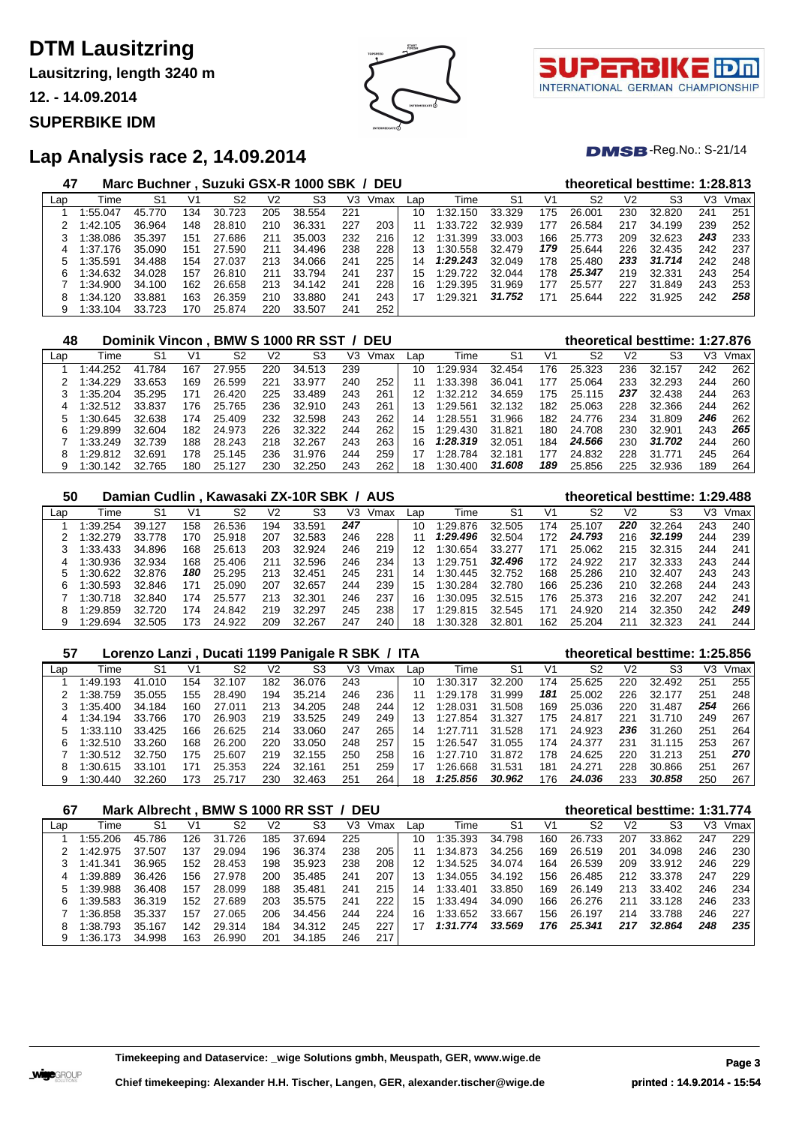**Lausitzring, length 3240 m**

**12. - 14.09.2014**

**SUPERBIKE IDM**





#### **DMSB**-Reg.No.: S-21/14

### **Lap Analysis race 2, 14.09.2014**

| 47  |          | Marc Buchner, Suzuki GSX-R 1000 SBK / DEU |     |        |     |        |     |      |     |          |        |     |        |     | theoretical besttime: 1:28.813 |     |      |
|-----|----------|-------------------------------------------|-----|--------|-----|--------|-----|------|-----|----------|--------|-----|--------|-----|--------------------------------|-----|------|
| Lap | Time     | S1                                        | V1  | S2     | V2  | S3     | V3  | Vmax | Lap | Time     | S1     | V1  | S2     | V2  | S3                             | VЗ  | Vmax |
|     | 1:55.047 | 45.770                                    | 134 | 30.723 | 205 | 38.554 | 221 |      | 10  | 1:32.150 | 33.329 | 175 | 26,001 | 230 | 32.820                         | 241 | 251  |
|     | 1:42.105 | 36.964                                    | 148 | 28.810 | 210 | 36.331 | 227 | 203  | 11  | 1:33.722 | 32.939 | 177 | 26.584 | 217 | 34.199                         | 239 | 252  |
|     | 1:38.086 | 35.397                                    | 151 | 27.686 | 211 | 35.003 | 232 | 216  | 12  | 1:31.399 | 33.003 | 166 | 25.773 | 209 | 32.623                         | 243 | 233  |
|     | 1:37.176 | 35.090                                    | 151 | 27.590 | 211 | 34.496 | 238 | 228  | 13  | 1:30.558 | 32.479 | 179 | 25.644 | 226 | 32.435                         | 242 | 237  |
|     | 1:35.591 | 34.488                                    | 154 | 27.037 | 213 | 34.066 | 241 | 225  | 14  | 1:29.243 | 32.049 | 178 | 25.480 | 233 | 31.714                         | 242 | 248  |
| 6   | 1:34.632 | 34.028                                    | 157 | 26.810 | 211 | 33.794 | 241 | 237  | 15  | 1:29.722 | 32.044 | 178 | 25.347 | 219 | 32.331                         | 243 | 254  |
|     | 1:34.900 | 34.100                                    | 162 | 26.658 | 213 | 34.142 | 241 | 228  | 16  | 1:29.395 | 31.969 | 177 | 25.577 | 227 | 31.849                         | 243 | 253  |
|     | 1:34.120 | 33.881                                    | 163 | 26.359 | 210 | 33.880 | 241 | 243  | 17  | 1:29.321 | 31.752 | 171 | 25.644 | 222 | 31.925                         | 242 | 258  |
| 9   | 1:33.104 | 33.723                                    | 170 | 25.874 | 220 | 33.507 | 241 | 252  |     |          |        |     |        |     |                                |     |      |

| 48  |          | Dominik Vincon, BMW S 1000 RR SST / DEU |     |        |     |        |     |      |     |          |        |     | theoretical besttime: 1:27.876 |     |        |     |      |
|-----|----------|-----------------------------------------|-----|--------|-----|--------|-----|------|-----|----------|--------|-----|--------------------------------|-----|--------|-----|------|
| Lap | Time     | S1                                      | V1  | S2     | V2  | S3     | V3  | Vmax | Lap | Time     | S1     | V1  | S2                             | V2  | S3     | V3  | Vmax |
|     | 1:44.252 | 41.784                                  | 167 | 27.955 | 220 | 34.513 | 239 |      | 10  | 1:29.934 | 32.454 | 176 | 25.323                         | 236 | 32.157 | 242 | 262  |
|     | 1:34.229 | 33.653                                  | 169 | 26.599 | 221 | 33.977 | 240 | 252  | 11  | 1:33.398 | 36.041 | 177 | 25.064                         | 233 | 32.293 | 244 | 260  |
|     | 1:35.204 | 35.295                                  | 171 | 26.420 | 225 | 33.489 | 243 | 261  | 12  | 1:32.212 | 34.659 | 175 | 25.115                         | 237 | 32.438 | 244 | 263  |
|     | 1:32.512 | 33.837                                  | 176 | 25.765 | 236 | 32.910 | 243 | 261  | 13  | 1:29.561 | 32.132 | 182 | 25.063                         | 228 | 32.366 | 244 | 262  |
|     | 1:30.645 | 32.638                                  | 174 | 25.409 | 232 | 32.598 | 243 | 262  | 14  | 1:28.551 | 31.966 | 182 | 24.776                         | 234 | 31.809 | 246 | 262  |
| 6   | 1:29.899 | 32.604                                  | 182 | 24.973 | 226 | 32.322 | 244 | 262  | 15  | 1:29.430 | 31.821 | 180 | 24.708                         | 230 | 32.901 | 243 | 265  |
|     | 1:33.249 | 32.739                                  | 188 | 28.243 | 218 | 32.267 | 243 | 263  | 16  | 1:28.319 | 32.051 | 184 | 24.566                         | 230 | 31.702 | 244 | 260  |
| 8   | 1:29.812 | 32.691                                  | 178 | 25.145 | 236 | 31.976 | 244 | 259  | 17  | 1:28.784 | 32.181 | 177 | 24.832                         | 228 | 31.771 | 245 | 264  |
| 9   | 1:30.142 | 32.765                                  | 180 | 25.127 | 230 | 32.250 | 243 | 262  | 18  | 1:30.400 | 31.608 | 189 | 25.856                         | 225 | 32.936 | 189 | 264  |

| 50  |          | Damian Cudlin, Kawasaki ZX-10R SBK / AUS |     |        |     |        |     |      |     |              |        | theoretical besttime: 1:29.488 |        |     |        |     |      |
|-----|----------|------------------------------------------|-----|--------|-----|--------|-----|------|-----|--------------|--------|--------------------------------|--------|-----|--------|-----|------|
| Lap | Time     | S1                                       | V1  | S2     | V2  | S3     | V3  | Vmax | Lap | Гіmе         | S1     | V1                             | S2     | V2  | S3     | V3  | Vmax |
|     | 1:39.254 | 39.127                                   | 158 | 26.536 | 194 | 33.591 | 247 |      | 10  | 1:29.876     | 32.505 | 174                            | 25.107 | 220 | 32.264 | 243 | 240  |
|     | 1:32.279 | 33.778                                   | 170 | 25.918 | 207 | 32.583 | 246 | 228  |     | 1:29.496     | 32.504 | 172                            | 24.793 | 216 | 32.199 | 244 | 239  |
|     | 1:33.433 | 34.896                                   | 168 | 25.613 | 203 | 32.924 | 246 | 219  | 12  | 1:30.654     | 33.277 | 171                            | 25.062 | 215 | 32.315 | 244 | 241  |
|     | 1:30.936 | 32.934                                   | 168 | 25.406 | 211 | 32.596 | 246 | 234  | 13  | 1:29.751     | 32,496 | 172                            | 24.922 | 217 | 32.333 | 243 | 244  |
|     | 1:30.622 | 32.876                                   | 180 | 25.295 | 213 | 32.451 | 245 | 231  | 14  | 1:30.445     | 32.752 | 168                            | 25.286 | 210 | 32.407 | 243 | 243  |
| 6   | 1:30.593 | 32.846                                   | 171 | 25.090 | 207 | 32.657 | 244 | 239  | 15  | 1:30.284     | 32.780 | 166                            | 25.236 | 210 | 32.268 | 244 | 243  |
|     | 1:30.718 | 32.840                                   | 174 | 25.577 | 213 | 32.301 | 246 | 237  | 16  | $\pm 30.095$ | 32.515 | 176                            | 25.373 | 216 | 32.207 | 242 | 241  |
| 8   | 1:29.859 | 32.720                                   | 174 | 24.842 | 219 | 32.297 | 245 | 238  |     | 1:29.815     | 32.545 | 171                            | 24.920 | 214 | 32.350 | 242 | 249  |
| 9   | 1:29.694 | 32.505                                   | 173 | 24.922 | 209 | 32.267 | 247 | 240  | 18  | 1:30.328     | 32.801 | 162                            | 25.204 | 211 | 32.323 | 241 | 244  |

#### **Lorenzo Lanzi , Ducati 1199 Panigale R SBK / ITA theoretical besttime: 1:25.856** Lap Time S1 V1 S2 V2 S3 V3 Vmax Lap Time S1 V1 S2 V2 S3 V3 Vmax 1 1:49.193 41.010 154 32.107 182 36.076 243 | 10 1:30.317 32.200 174 25.625 220 32.492 251 255| 1:38.759 35.055 155 28.490 194 35.214 246 236 11 1:29.178 31.999 *181* 25.002 226 32.177 251 248 1:35.400 34.184 160 27.011 213 34.205 248 244 12 1:28.031 31.508 169 25.036 220 31.487 *254* 266 1:34.194 33.766 170 26.903 219 33.525 249 249 13 1:27.854 31.327 175 24.817 221 31.710 249 267 1:33.110 33.425 166 26.625 214 33.060 247 265 14 1:27.711 31.528 171 24.923 *236* 31.260 251 264 1:32.510 33.260 168 26.200 220 33.050 248 257 15 1:26.547 31.055 174 24.377 231 31.115 253 267 1:30.512 32.750 175 25.607 219 32.155 250 258 16 1:27.710 31.872 178 24.625 220 31.213 251 *270* 1:30.615 33.101 171 25.353 224 32.161 251 259 17 1:26.668 31.531 181 24.271 228 30.866 251 267 1:30.440 32.260 173 25.717 230 32.463 251 264 18 *1:25.856 30.962* 176 *24.036* 233 *30.858* 250 267

| 67  |          |        |     |            |     | Mark Albrecht, BMW S 1000 RR SST / DEU |     |      |     |          |        |     |        |                | theoretical besttime: 1:31.774 |     |      |
|-----|----------|--------|-----|------------|-----|----------------------------------------|-----|------|-----|----------|--------|-----|--------|----------------|--------------------------------|-----|------|
| Lap | Time     | S1     | V1  | S2         | V2  | S3                                     | V3. | Vmax | Lap | Time     | S1     | V1  | S2     | V <sub>2</sub> | S3                             | V3  | Vmax |
|     | 1:55.206 | 45.786 | 126 | 31<br>.726 | 185 | 37.694                                 | 225 |      | 10  | 1:35.393 | 34.798 | 160 | 26.733 | 207            | 33.862                         | 247 | 229  |
|     | 1:42.975 | 37.507 | 137 | 29.094     | 196 | 36.374                                 | 238 | 205  | 11  | 1:34.873 | 34.256 | 169 | 26.519 | 201            | 34.098                         | 246 | 230  |
|     | 1:41.341 | 36.965 | 152 | 28.453     | 198 | 35.923                                 | 238 | 208  | 12  | 1:34.525 | 34.074 | 164 | 26.539 | 209            | 33.912                         | 246 | 229  |
| 4   | 1:39.889 | 36.426 | 156 | 27.978     | 200 | 35.485                                 | 241 | 207  | 13  | 1:34.055 | 34.192 | 156 | 26.485 | 212            | 33.378                         | 247 | 229  |
|     | 1:39.988 | 36.408 | 157 | 28.099     | 188 | 35.481                                 | 241 | 215  | 14  | 1:33.401 | 33.850 | 169 | 26.149 | 213            | 33.402                         | 246 | 234  |
| 6   | 1:39.583 | 36.319 | 152 | 27.689     | 203 | 35.575                                 | 241 | 222  | 15  | 1:33.494 | 34.090 | 166 | 26.276 | 211            | 33.128                         | 246 | 233  |
|     | 1:36.858 | 35.337 | 157 | 27.065     | 206 | 34.456                                 | 244 | 224  | 16  | 1:33.652 | 33.667 | 156 | 26.197 | 214            | 33.788                         | 246 | 227  |
| 8   | 1:38.793 | 35.167 | 142 | 29.314     | 184 | 34.312                                 | 245 | 227  | 17  | 1:31.774 | 33.569 | 176 | 25.341 | 217            | 32.864                         | 248 | 235  |
| 9   | 1:36.173 | 34.998 | 163 | 26.990     | 201 | 34.185                                 | 246 | 217  |     |          |        |     |        |                |                                |     |      |